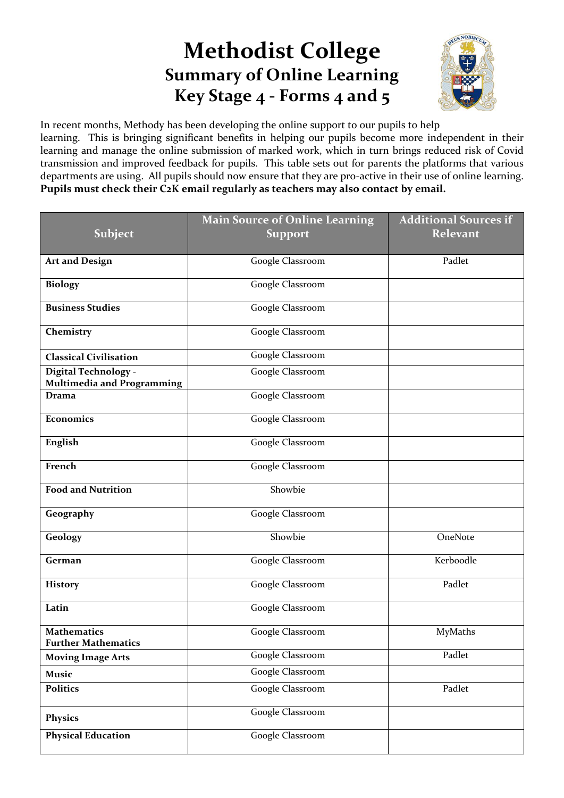## **Methodist College Summary of Online Learning Key Stage 4 - Forms 4 and 5**



In recent months, Methody has been developing the online support to our pupils to help learning. This is bringing significant benefits in helping our pupils become more independent in their learning and manage the online submission of marked work, which in turn brings reduced risk of Covid transmission and improved feedback for pupils. This table sets out for parents the platforms that various departments are using. All pupils should now ensure that they are pro-active in their use of online learning. **Pupils must check their C2K email regularly as teachers may also contact by email.**

|                                                           | <b>Main Source of Online Learning</b> | <b>Additional Sources if</b> |
|-----------------------------------------------------------|---------------------------------------|------------------------------|
| <b>Subject</b>                                            | <b>Support</b>                        | <b>Relevant</b>              |
|                                                           |                                       |                              |
| <b>Art and Design</b>                                     | Google Classroom                      | Padlet                       |
| <b>Biology</b>                                            | Google Classroom                      |                              |
| <b>Business Studies</b>                                   | Google Classroom                      |                              |
| Chemistry                                                 | Google Classroom                      |                              |
| <b>Classical Civilisation</b>                             | Google Classroom                      |                              |
| Digital Technology -<br><b>Multimedia and Programming</b> | Google Classroom                      |                              |
| <b>Drama</b>                                              | Google Classroom                      |                              |
| Economics                                                 | Google Classroom                      |                              |
| English                                                   | Google Classroom                      |                              |
| French                                                    | Google Classroom                      |                              |
| <b>Food and Nutrition</b>                                 | Showbie                               |                              |
| Geography                                                 | Google Classroom                      |                              |
| Geology                                                   | Showbie                               | OneNote                      |
| German                                                    | Google Classroom                      | Kerboodle                    |
| <b>History</b>                                            | Google Classroom                      | Padlet                       |
| Latin                                                     | Google Classroom                      |                              |
| <b>Mathematics</b><br><b>Further Mathematics</b>          | Google Classroom                      | MyMaths                      |
| <b>Moving Image Arts</b>                                  | Google Classroom                      | Padlet                       |
| <b>Music</b>                                              | Google Classroom                      |                              |
| <b>Politics</b>                                           | Google Classroom                      | Padlet                       |
| <b>Physics</b>                                            | Google Classroom                      |                              |
| <b>Physical Education</b>                                 | Google Classroom                      |                              |